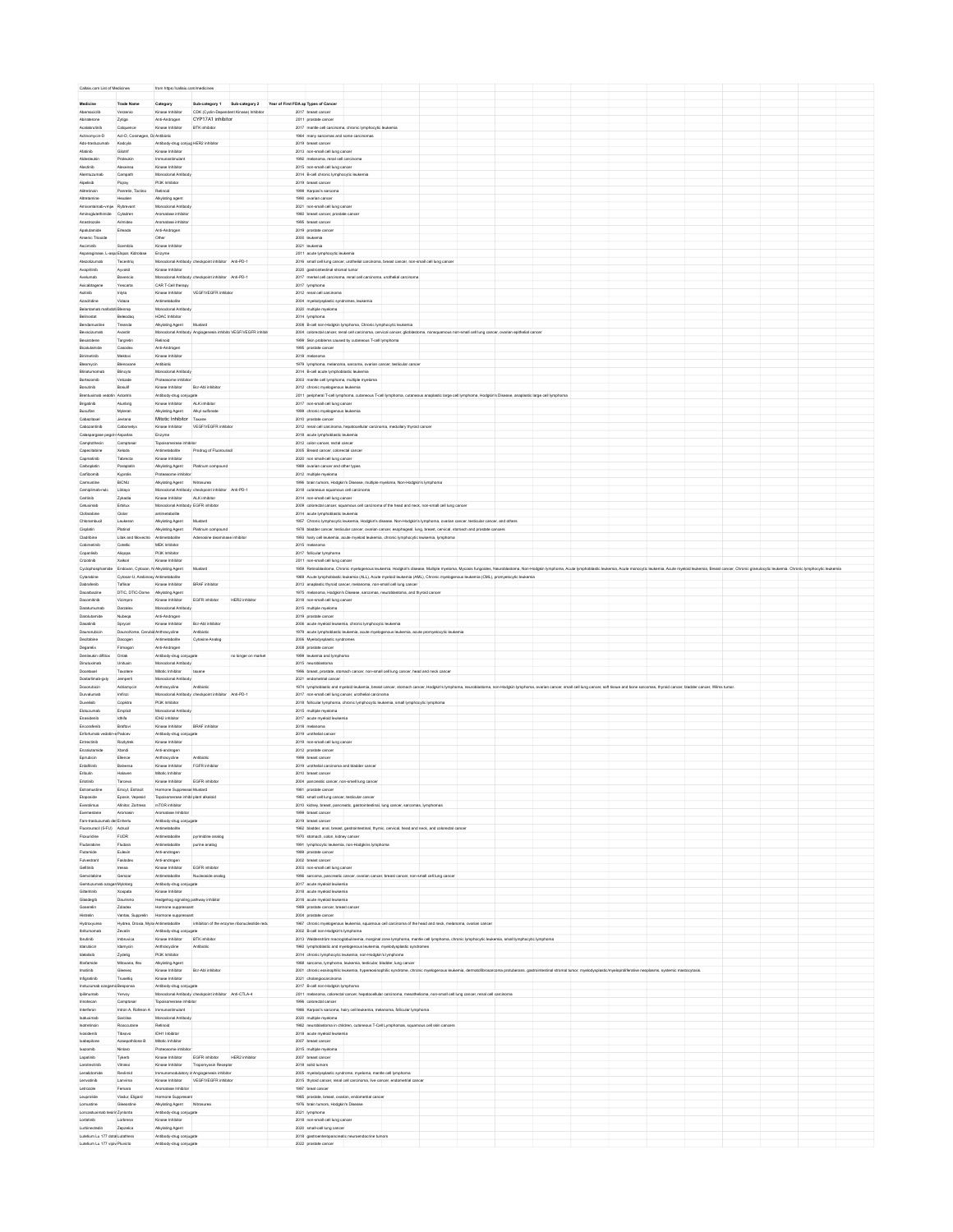| Callaix.com List of Medicines                   |                                                               | from https://callaix.com/medicines                             |                                                                                  |                               |                                                                                                                                                                                                                                                           |                           |  |  |  |  |  |  |  |
|-------------------------------------------------|---------------------------------------------------------------|----------------------------------------------------------------|----------------------------------------------------------------------------------|-------------------------------|-----------------------------------------------------------------------------------------------------------------------------------------------------------------------------------------------------------------------------------------------------------|---------------------------|--|--|--|--|--|--|--|
| Medicine                                        | <b>Trade Name</b>                                             | Category                                                       |                                                                                  |                               | Sub-category 1 Sub-category 2 Year of First FDA ap Types of Cancer                                                                                                                                                                                        |                           |  |  |  |  |  |  |  |
| Abemaciclib                                     | Verzenio                                                      |                                                                | Kinase Inhibitor CDK (Cyclin-Dependent Kinase) Inhibitor                         |                               | 2017 breast cancer                                                                                                                                                                                                                                        |                           |  |  |  |  |  |  |  |
| Abiraterone                                     | Zytiga                                                        | Ant-Androgen                                                   | CYP17A1 inhibitor                                                                |                               | 2011 prostate cancer                                                                                                                                                                                                                                      |                           |  |  |  |  |  |  |  |
| Acalabrutinib<br>Actinomycin-D                  | Calquence<br>Act-D, Cosmegen, D; Antibiotic                   | Kinase Inhibitor                                               | <b>BTK</b> inhibitor                                                             |                               | 2017 mantle cell carcinoma, chronic lymphocytic leukemia<br>1964 many sarcomas and some carcinomas                                                                                                                                                        |                           |  |  |  |  |  |  |  |
| Ado-trastuzumab                                 | Kadcyla                                                       | Antibody-drug conjug HER2 inhibitor                            |                                                                                  |                               | 2019 breast cancer                                                                                                                                                                                                                                        |                           |  |  |  |  |  |  |  |
| Afatinb                                         | Gilconf                                                       | Kinase Inhibitor                                               |                                                                                  |                               | 2013 non-small cell lung cancer                                                                                                                                                                                                                           |                           |  |  |  |  |  |  |  |
| Aldesleukin<br>Alectinib                        | Proleukin<br>Alecensa                                         | Immunostimulant<br>Kingse Inhibitor                            |                                                                                  |                               | 1992 melanoma, renal cell carcinoma<br>2015 non-small cell lung cancer                                                                                                                                                                                    |                           |  |  |  |  |  |  |  |
| Alemtuzumab                                     | Campath                                                       | Monoclonal Antibody                                            |                                                                                  |                               | 2014 B-cell chronic lymphocytic leukemia                                                                                                                                                                                                                  |                           |  |  |  |  |  |  |  |
| Algelisib<br>Altretinoin                        | Pigray                                                        | PI3K Inhibitor                                                 |                                                                                  |                               | 2019 hreast cancer<br>1999 Karposi's sarcoma                                                                                                                                                                                                              |                           |  |  |  |  |  |  |  |
| Atretamine                                      | Panretin, Toctino Retinoid<br>Hexalen                         | Alkylating agent                                               |                                                                                  |                               | 1990 ovarian cancer                                                                                                                                                                                                                                       |                           |  |  |  |  |  |  |  |
| Amivantamab-ymiw Rybrevant                      |                                                               | Monoclonal Antibody                                            |                                                                                  |                               | 2021 non-small cell lung cancer                                                                                                                                                                                                                           |                           |  |  |  |  |  |  |  |
| Aminoglutethimide Cytadren<br>Anastrozole       | Arimidex                                                      | Aromatase inhibito<br>Aromatase inhibitor                      |                                                                                  |                               | 1980 breast cancer, prostate cance<br>1995 breast cancer                                                                                                                                                                                                  |                           |  |  |  |  |  |  |  |
| Apalutamide                                     | Erleada                                                       | Ant-Androgen                                                   |                                                                                  |                               | 2019 prostate cancer                                                                                                                                                                                                                                      |                           |  |  |  |  |  |  |  |
| Arsenic Tripxide<br>Asciminib                   | Scemblix                                                      | Other<br>Kinase Inhibitor                                      |                                                                                  |                               | 2000 leukemia<br>2021 leukemia                                                                                                                                                                                                                            |                           |  |  |  |  |  |  |  |
| Asparaginase, L-asp; Elspar, Kidrolase          |                                                               | Enzyme                                                         |                                                                                  |                               | 2011 acute lymphocytic leukemia                                                                                                                                                                                                                           |                           |  |  |  |  |  |  |  |
| Atezolizumab                                    | Tecentriq                                                     |                                                                | Monoclonal Antibody checkpoint inhibitor Anti-PD-1                               |                               | 2016 small cell lung cancer, urothelial carcinoma, breast cancer, non-small cell lung cancer                                                                                                                                                              |                           |  |  |  |  |  |  |  |
| Avapritinib<br>Avelumab                         | Ayvakit<br>Bavencio                                           | Kinase Inhibitor                                               | Monoclonal Antibody checkpoint inhibitor Anti-PD-1                               |                               | 2020 gastrointestinal stromal tumor<br>2017 merkel cell carcinoma, renal cell carcinoma, urothelial carcinoma                                                                                                                                             |                           |  |  |  |  |  |  |  |
| Axicabtagene                                    | Yescarta                                                      | CAR T-Cell therapy                                             |                                                                                  |                               | 2017 lymphoma                                                                                                                                                                                                                                             |                           |  |  |  |  |  |  |  |
| Axitrib                                         | Inlyta                                                        |                                                                | Kinase Inhibitor VEGF/VEGFR inhibitor                                            |                               | 2012 renal cell carcinoma                                                                                                                                                                                                                                 |                           |  |  |  |  |  |  |  |
| Azacitidine<br>Belantamab mafodoti Blenrep      | Vidaza                                                        | Animetabolite<br>Monoclonal Antibody                           |                                                                                  |                               | 2004 myelodysplastic syndromes, leukemia<br>2020 multiple myeloma                                                                                                                                                                                         |                           |  |  |  |  |  |  |  |
| Belinostat                                      | Beleodag                                                      | <b>HDAC</b> Inhibitor                                          |                                                                                  |                               | 2014 lymphoma                                                                                                                                                                                                                                             |                           |  |  |  |  |  |  |  |
| Bendamustine<br>Bevacizumab                     | Treanda<br>Avastin                                            | Alkylating Agent Mustard                                       | Monoclonal Antibody Angiogenesis inhibito VEGF/VEGFR inhibit                     |                               | 2008 B-cell non-Hodgkin lymphoma, Chronic lymphocytic leukemia<br>2004 colorectal cancer, renal cell carcinoma, cervical cancer, glioblastoma, nonsquamous non-small cell lung cancer, ovarian epithelial cancer                                          |                           |  |  |  |  |  |  |  |
| Bexarotene                                      | Targretin                                                     | Retinoid                                                       |                                                                                  |                               | 1999 Skin problems caused by cutaneous T-cell lymphoma                                                                                                                                                                                                    |                           |  |  |  |  |  |  |  |
| Bicalutamide                                    | Casodex                                                       | Ant-Androgen                                                   |                                                                                  |                               | 1995 prostate cancer                                                                                                                                                                                                                                      |                           |  |  |  |  |  |  |  |
| Binimetinib<br>Bleomycin                        | Mektovi<br>Blenoxane                                          | Kingse Inhibitor<br>Anthiotic                                  |                                                                                  |                               | 2018 melanoma<br>1979 lymphoma, melanoma, sarcoma, ovarian cancer, testicular cancer                                                                                                                                                                      |                           |  |  |  |  |  |  |  |
| Blinatumomab                                    | Blincyto                                                      | Monoclonal Antibody                                            |                                                                                  |                               | 2014 B-cell acute lymphoblastic leukemia                                                                                                                                                                                                                  |                           |  |  |  |  |  |  |  |
| Bortezomib                                      | Velcade<br>Bosuit                                             | Proteasome inhibitor<br>Kinase Inhibitor Bcr-Abi inhibitor     |                                                                                  |                               | 2003 mantle cell lymphoma, multiple myeloma                                                                                                                                                                                                               |                           |  |  |  |  |  |  |  |
| Bosutinib<br>Brentuximab vedotin Adcetris       |                                                               | Antibody-drug conjugate                                        |                                                                                  |                               | 2012 chronic myelogenous leukemia<br>2011 peripheral T-cell lymphoma, cutaneous T-cell lymphoma, cutaneous anaplastic large cell lymphoma, Hodgkin's Disease, anaplastic large cell lymphoma                                                              |                           |  |  |  |  |  |  |  |
| Brigatinib                                      | Alunbrig                                                      | Kinase Inhibitor ALK inhibito                                  |                                                                                  |                               | 2017 non-small cell lung cancer                                                                                                                                                                                                                           |                           |  |  |  |  |  |  |  |
| Busulfan<br>Cabazitaxel                         | Myleran<br>Jeytana                                            | Alicelation Anent Alicel suffenate<br>Mitotic Inhibitor Taxane |                                                                                  |                               | 1999 chronic myelonennus leukemia<br>2010 prostate cancer                                                                                                                                                                                                 |                           |  |  |  |  |  |  |  |
| Cabozantinib                                    | Cabometyx                                                     |                                                                | Kinase Inhibitor VEGF/VEGFR Inhibitor                                            |                               | 2012 renal cell carcinoma, hepatocellular carcinoma, medullary thyroid cancer                                                                                                                                                                             |                           |  |  |  |  |  |  |  |
| Calasparoase peopl-i Asparlas                   |                                                               | Enzyme                                                         |                                                                                  |                               | 2018 acute Ivmphoblastic leukemia                                                                                                                                                                                                                         |                           |  |  |  |  |  |  |  |
| Camptothecin<br>Capecitabine                    | Camptosar<br>Xeloda                                           | Topoisomerase inhibitor                                        | Antimetabolite Prodrug of Fluorouracil                                           |                               | 2012 colon cancer, rectal cancer<br>2005 Breast cancer, colorectal cancer                                                                                                                                                                                 |                           |  |  |  |  |  |  |  |
| Capmatinib                                      | Tabrecta                                                      | Kinase Inhibitor                                               |                                                                                  |                               | 2020 non small-cell lung cancer                                                                                                                                                                                                                           |                           |  |  |  |  |  |  |  |
| Carboplatin<br>Carlibomib                       | Paraplatin<br>Kyorolis                                        | Proteasome inhibitor                                           | Alkylating Agent Platinum compound                                               |                               | 1989 ovarian cancer and other types<br>2012 multiple myeloma                                                                                                                                                                                              |                           |  |  |  |  |  |  |  |
| Carmustine                                      | <b>BICNU</b>                                                  | Alkylating Agent Nitrosurea                                    |                                                                                  |                               | 1996 brain tumors, Hodgkin's Disease, multiple myeloma, Non-Hodgkin's lymphoma                                                                                                                                                                            |                           |  |  |  |  |  |  |  |
| Cemiplimab-rwlc Libtayo                         |                                                               |                                                                | Monoclonal Antibody checkpoint inhibitor Anti-PD-1                               |                               | 2018 cutaneous squamous cell carcinoma<br>2014 non-small cell lunn cancer                                                                                                                                                                                 |                           |  |  |  |  |  |  |  |
| Ceritinib<br>Cetuximab                          | Zykadia<br>Erbitux                                            | Kinase Inhibitor<br>Monoclonal Antibody EGFR inhibitor         | ALK inhibitor                                                                    |                               | 2009 colorectal cancer, squamous cell carcinoma of the head and neck, non-small cell lung cancer                                                                                                                                                          |                           |  |  |  |  |  |  |  |
| Clofarabine                                     | Clolar                                                        | antimetabolite                                                 |                                                                                  |                               | 2014 acute Ivmshohlastic leukemia                                                                                                                                                                                                                         |                           |  |  |  |  |  |  |  |
| Chlorambucil<br>Cisplatin                       | Leukeran<br>Platinol                                          | Alkylating Agent Mustard<br>Alkylating Agent                   | Platinum compound                                                                |                               | 1957 Chronic lymphocytic leukemia, Hodgkin's disease. Non-Hodgkin's lymphoma, ovarian cancer, testicular cancer, and others<br>1978 bladder cancer, testicular cancer, ovarian cancer, esophageal, lung, breast, cervical, stomach and prostate cancers   |                           |  |  |  |  |  |  |  |
| Cladibine                                       | Litak and Movectro Antimetabolite                             |                                                                | Adenosine deaminase inhibitor                                                    |                               | 1993 hairy cell leukemia, acute myeloid leukemia, chronic lymphocytic leukemia, lymphoma                                                                                                                                                                  |                           |  |  |  |  |  |  |  |
| Cobimetinb                                      | Cotellic                                                      | MEK Inhibitor                                                  |                                                                                  |                               | 2015 melanoma                                                                                                                                                                                                                                             |                           |  |  |  |  |  |  |  |
| Copaniisib<br>Crizotinib                        | Aligopa<br>Xalkori                                            | PI3K Inhibitor<br>Kingse Inhibitor                             |                                                                                  |                               | 2017 follicular lymphoma<br>2011 non-small cell lung cancer                                                                                                                                                                                               |                           |  |  |  |  |  |  |  |
|                                                 | Cyclophosphamide Endoxan, Cytoxan, N Alkylating Agent Mustard |                                                                |                                                                                  |                               | 1959 Retinoblastoma, Chronic myelogenous leukemia, Hodgkir's disease, Multiple myeloma, Mycosis fungcides, Neuroblastoma, Non-Hodgkin lymphoma, Acude lymphoblastic leukemia, Acude monocytic leukemia, Acute myeloid leukemia                            |                           |  |  |  |  |  |  |  |
| Cytarabine                                      | Cytosar-U, Arabinosy Antimetabolite<br>Taffinar               |                                                                |                                                                                  |                               | 1969 Acute lymphoblastic leukemia (ALL), Acute myeloid leukemia (AML), Chronic myelogenous leukemia (CML), promyelocytic leukemia                                                                                                                         |                           |  |  |  |  |  |  |  |
| Dabrafenib<br>Dacarbazine                       | DTIC, DTIC-Dome Alkylating Agent                              | Kingse Inhibitor                                               | BRAF inhibitor                                                                   |                               | 2013 anaplastic thyroid cancer, melanoma, non-small cell lung cancer<br>1975 melanoma, Hodgkin's Disease, sarcomas, neuroblastoma, and thyroid cancer                                                                                                     |                           |  |  |  |  |  |  |  |
| Dacomitinib                                     | Vizimpro                                                      | Kinase Inhibitor                                               | EGFR inhibitor HER2 inhibitor                                                    |                               | 2018 non-small cell lung cancer                                                                                                                                                                                                                           |                           |  |  |  |  |  |  |  |
| Daratumumab<br>Darolutamide                     | Darzalex<br>Nubega                                            | Monoclonal Antibod<br>Ant-Androgen                             |                                                                                  |                               | 2015 multiple myeloma<br>2019 prostate cancer                                                                                                                                                                                                             |                           |  |  |  |  |  |  |  |
| Dasatinib                                       | Sprycel                                                       | Kinase Inhibitor                                               | Bor-Abi inhibitor                                                                |                               | 2006 acute myeloid leukemia, chronic lymphocytic leukemia                                                                                                                                                                                                 |                           |  |  |  |  |  |  |  |
| Daunorubicin                                    | DaunoXome, Cerubic Anthracycline                              |                                                                | Antibiotic                                                                       |                               | 1979 acute lymphobiastic leukemia, acute myelogenous leukemia, acute promyelocytic leukemia                                                                                                                                                               |                           |  |  |  |  |  |  |  |
| Decitabine<br>Degaretix                         | Dacogen<br>Firmagon                                           | Antimetabolite<br>Anti-Androgen                                | Cytosine Analog                                                                  |                               | 2006 Myelodysplastic syndromes<br>2008 prostate cancer                                                                                                                                                                                                    |                           |  |  |  |  |  |  |  |
| Denieukin difitox                               | Ontak                                                         | Antibody-drug conjugate                                        |                                                                                  | no longer on market           | 1999 leukemia and lymphoma                                                                                                                                                                                                                                |                           |  |  |  |  |  |  |  |
| Dinutusimab<br>Docetaxel                        | Unituxin<br>Taxotere                                          | Monoclonal Antibody<br>Mitotic Inhibitor                       | tavane                                                                           |                               | 2015 neuroblastoma<br>1996 breast, prostate, stomach cancer, non-small cell lung cancer, head and neck cancer                                                                                                                                             |                           |  |  |  |  |  |  |  |
| Dostarlimab-gxly                                | Jemperii                                                      | Monoclonal Antibody                                            |                                                                                  |                               | 2021 endometrial cancer                                                                                                                                                                                                                                   |                           |  |  |  |  |  |  |  |
| Doxorubicin                                     | Adriamycin                                                    | Anthracycline                                                  | Antibiotic                                                                       |                               | 1974   ymphoblastic and myeloid leukemia, breast cancer, stomach cancer, Hodgkin's lymphoma, neuroblastoma, non Hodgkin lymphoma, ovarian cancer, small cell lung cancer, stoll tasue and bone sarcomas, thyroid cancer, bladd                            |                           |  |  |  |  |  |  |  |
| Durvalumab<br>Duvelisib                         | Imfinzi<br>Copildra                                           | PI3K Inhibitor                                                 | Monoclonal Antibody checkpoint inhibitor Anti-PD-1                               |                               | 2017 non-small cell lung cancer, urothelial carcinoma<br>2018 follicular lymphoma, chronic lymphocytic leukemia, small lymphocytic lymphoma                                                                                                               |                           |  |  |  |  |  |  |  |
| Elotuzumah                                      | Emplicit                                                      | Monoclonal Antibody                                            |                                                                                  |                               | 2015 multiple myeloma                                                                                                                                                                                                                                     |                           |  |  |  |  |  |  |  |
| Enasidenib<br>Encoratenib                       | Idhifa<br>Brattovi                                            | IDH2 inhibitor<br>Kinase Inhibitor BRAF inhibitor              |                                                                                  |                               | 2017 acute myeloid leukemia<br>2018 melanoma                                                                                                                                                                                                              |                           |  |  |  |  |  |  |  |
| Enfortumab vedotin-4 Padcev                     |                                                               | Antibody-drug conjugate                                        |                                                                                  |                               | 2019 urothelial cancer                                                                                                                                                                                                                                    |                           |  |  |  |  |  |  |  |
| Entrectinib                                     | Rozlytrek                                                     | Kinase Inhibitor                                               |                                                                                  |                               | 2019 non-small cell lung cancer                                                                                                                                                                                                                           |                           |  |  |  |  |  |  |  |
| Enzalutamide<br>Epirubicin                      | Xtandi<br>Ellence                                             | Ant-androgen<br>Anthracycline                                  | Antibiotic                                                                       |                               | 2012 prostate cancer<br>1999 breast cancer                                                                                                                                                                                                                |                           |  |  |  |  |  |  |  |
| Erdaftinib                                      | Balversa                                                      | Kinase Inhibitor                                               | FGFR inhibitor                                                                   |                               | 2019 urothelial carcinoma and bladder cancer                                                                                                                                                                                                              |                           |  |  |  |  |  |  |  |
| Eribulin                                        | Halayen                                                       | Mitotic Inhibitor                                              |                                                                                  |                               | 2010 hreast cancer                                                                                                                                                                                                                                        |                           |  |  |  |  |  |  |  |
| Estramustine                                    | Emcyt, Estracit Hormone Suppressal Mustard                    |                                                                | EGFR                                                                             |                               | 1981 nmstate cancer                                                                                                                                                                                                                                       | ter, non-smell lung cance |  |  |  |  |  |  |  |
| Etoposide                                       | Eposin, Vepesid Topoisomerase inhibi plant alkaloid           |                                                                |                                                                                  |                               | 1983 small cell lung cancer, testicular cancer                                                                                                                                                                                                            |                           |  |  |  |  |  |  |  |
| Everolimus<br>Exemestane                        | Afinitor, Zortress mTOR inhibitor<br>Aromasin                 | Ammatase Inhibitor                                             |                                                                                  |                               | 2010 kidney, breast, pancreatic, gastrointestinal, lung cancer, sarcomas, lymphomas<br>1999 breast cancer                                                                                                                                                 |                           |  |  |  |  |  |  |  |
| Fam-trastuzumab der Enhertu                     |                                                               | Antibody-drug conjugate                                        |                                                                                  |                               | 2019 breast cancer                                                                                                                                                                                                                                        |                           |  |  |  |  |  |  |  |
| Fluorouracil (5-FU) Adrucil<br>Floxuridine      | <b>FUDR</b>                                                   | Antimetabolite<br>Antimetabolite                               | pyrimidine analog                                                                |                               | 1962 bladder, anal, breast, gastrointestinal, thymic, cervical, head and neck, and colorectal cancer<br>1970 stomach, colon, kidney cancer                                                                                                                |                           |  |  |  |  |  |  |  |
| Fludarabine                                     | Fludara                                                       | Antimetabolite                                                 | purine analog                                                                    |                               | 1991 lymphocytic leukemia, non-Hodgkins lymphoma                                                                                                                                                                                                          |                           |  |  |  |  |  |  |  |
| Flutamide                                       | Eulexin                                                       | Ant-androgen                                                   |                                                                                  |                               | 1989 nmstate nanner                                                                                                                                                                                                                                       |                           |  |  |  |  |  |  |  |
| Fulvestrant<br>Gefitinib                        | Fasiodex<br>Iressa                                            | Ant-androgen<br>Kinase Inhibitor EGFR inhibitor                |                                                                                  |                               | 2002 breast cance<br>2003 non-small cell lung cancer                                                                                                                                                                                                      |                           |  |  |  |  |  |  |  |
| Gemoltabine                                     | Gemzar                                                        | Antimetabolite                                                 | Nucleoside analog                                                                |                               | 1996 sarcoma, pancreatic cancer, ovarian cancer, breast cancer, non-small cell lung cancer                                                                                                                                                                |                           |  |  |  |  |  |  |  |
| Gemtuzumab ozogan Mylotarg<br>Gilteritinib      | Xospata                                                       | Antibody-drug conjugate<br>Kingse Inhibitor                    |                                                                                  |                               | 2017 acute myeloid leukemia<br>2018 acute myeloid leukemia                                                                                                                                                                                                |                           |  |  |  |  |  |  |  |
| Glasdegib                                       | Daurismo                                                      | Hedgehog signaling pathway inhibitor                           |                                                                                  |                               | 2018 acute myeloid leukemia                                                                                                                                                                                                                               |                           |  |  |  |  |  |  |  |
| Goserelin                                       | Zoladex                                                       | Hormone suppressant                                            |                                                                                  |                               | 1989 prostate cancer, breast cancer                                                                                                                                                                                                                       |                           |  |  |  |  |  |  |  |
| Histrelin<br>Hydroxyurea                        | Vantas, Supprelin Hormone suppressant                         |                                                                | Hydrea, Droxia, Mylo Antimetabolite inhibition of the enzyme ribonucleotide redu |                               | 2004 prostate cancer<br>1967 chronic myelogenous leukemia, squamous cell carcinoma of the head and neck, melanoma, ovarian cancer                                                                                                                         |                           |  |  |  |  |  |  |  |
| Ibritumomab                                     | Zevalin                                                       | Antibody-drug conjugate                                        |                                                                                  | the control of the control of | 2002 B-cell non-Hodgkin's lymphoma                                                                                                                                                                                                                        |                           |  |  |  |  |  |  |  |
| Ibrutinib<br>Idarubicin                         | Imbruvica<br>Idamycin                                         | Kinase Inhibitor BTK inhibitor<br>Anthracycline Antibiotic     |                                                                                  |                               | 2013 Waldenström macroglobulinemia, marginal zone lymphoma, mantle cell lymphoma, chronic lymphocytic leukernia, small lymphocytic lymphoma<br>1960 lymphoblastic and myelogenous leukemia, myelodysplastic syndromes                                     |                           |  |  |  |  |  |  |  |
| Idelaisib                                       | Zydelig                                                       | PI3K Inhibitor                                                 |                                                                                  |                               | 2014 chronic lymphocytic leukemia, non-Hodgkin's lymphoma                                                                                                                                                                                                 |                           |  |  |  |  |  |  |  |
| Ifosfamide                                      | Mitoxana, Ifex                                                | Alkylating Agent                                               |                                                                                  |                               | 1988 sarcoma, lymphoma, leukemia, testicular, bladder, lung cancer                                                                                                                                                                                        |                           |  |  |  |  |  |  |  |
| Imatrib<br>Infigratinib                         | Gleevec<br>Truseltiq                                          | Kinase Inhibitor Bcr-Abl inhibitor<br>Kinase Inhibitor         |                                                                                  |                               | 2001 chronic eosinophilic leukemia, hypereosinophilic syndrome, chronic myelogenous leukemia, dermatofibrosarcoma probuberans. gastrointestinal stromal tumor, myelodysplastic/myeloproliferative neoplasms, systemic mastocyt<br>2021 cholangiocarcinoma |                           |  |  |  |  |  |  |  |
| Inotuzumab ozogami Besponsa                     |                                                               | Antibody-drug conjugate                                        |                                                                                  |                               | 2017 B-cell non-Hodgkin lymphoma                                                                                                                                                                                                                          |                           |  |  |  |  |  |  |  |
| Iplimumab<br>Innotecan                          | Yervoy<br>Camptosar                                           | Topoisomerase inhibitor                                        | Monoclonal Antibody checkpoint inhibitor Anti-CTLA-4                             |                               | 2011 melanoma, colorectal cancer, hepatocellular carcinoma, mesothelicma, non-small cell lung cancer, renal cell carcinoma<br>1996 colorectal cancer                                                                                                      |                           |  |  |  |  |  |  |  |
| Interferon                                      | Intron A, Roferon A Immunostimulant                           |                                                                |                                                                                  |                               | 1986 Karposi's sarcoma, hairy cell leukemia, melanoma, follicular lymphoma                                                                                                                                                                                |                           |  |  |  |  |  |  |  |
| Isatuximab<br>Isotretinoin                      | Sarcisa                                                       | Monoclonal Antibody                                            |                                                                                  |                               | 2020 multiple myeloma                                                                                                                                                                                                                                     |                           |  |  |  |  |  |  |  |
| Ivosidenib                                      | Roaccutane<br>Tibsovo                                         | Retinoid<br><b>IDH1</b> Inbiblion                              |                                                                                  |                               | 1982 neuroblastoma in children, cutaneous T-Cell Lymphomas, squamous cell skin cancers<br>2018 acute myeloid leukemia                                                                                                                                     |                           |  |  |  |  |  |  |  |
| brabeoilone                                     | Azaepothilone B Mitotic Inhibitor                             |                                                                |                                                                                  |                               | 2007 breast cancer                                                                                                                                                                                                                                        |                           |  |  |  |  |  |  |  |
| brazomib<br>Lapatinib                           | Ninlaro<br>Tykerb                                             | Proteosome inhibitor                                           | Kinase Inhibitor EGFR inhibitor HER2 inhibitor                                   |                               | 2015 multiple myeloma<br>2007 breast cancer                                                                                                                                                                                                               |                           |  |  |  |  |  |  |  |
| Larotrectinib                                   | Vitrakvi                                                      |                                                                | Kinase Inhibitor Tropomyosin Receptor                                            |                               | 2018 solid tumors                                                                                                                                                                                                                                         |                           |  |  |  |  |  |  |  |
| Lenalidomide<br>Lenvatinib                      | Revimid<br>Lanvima                                            |                                                                | Immunomodulatory ir Angiogenesis inhibitor                                       |                               | 2005 myelodysplastic syndrome, myeloma, mantle cell lymphoma<br>2015 thyroid cancer, renal cell carcinoma, live cancer, endometrial cancer                                                                                                                |                           |  |  |  |  |  |  |  |
| Letrozole                                       | Femara                                                        | Aromatase Inhibitor                                            | Kinase Inhibitor VEGF/VEGFR inhibitor                                            |                               | 1997 breat cancer                                                                                                                                                                                                                                         |                           |  |  |  |  |  |  |  |
| Leuprolide                                      | Viadur, Eligard Hormone Suppresant                            |                                                                |                                                                                  |                               | 1985 prostate, breast, ovarian, endometrial cancer                                                                                                                                                                                                        |                           |  |  |  |  |  |  |  |
| Lomustine<br>Loncastuximab tesirir Zynlonta     | Gleecafine                                                    | Alkylating Agent Nitrosurea<br>Antibody-drug conjugate         |                                                                                  |                               | 1976 brain tumors, Hodgkin's Disease<br>2021 lymphoma                                                                                                                                                                                                     |                           |  |  |  |  |  |  |  |
| Loriatinib                                      | Lorbrena                                                      | Kinase Inhibitor                                               |                                                                                  |                               | 2018 non-small cell lung cancer                                                                                                                                                                                                                           |                           |  |  |  |  |  |  |  |
| Lurbinectedin<br>Lutetium Lu 177 dota Lutathera | Zepzeica                                                      | Alkylating Agent<br>Antibody-drug conjugate                    |                                                                                  |                               | 2020 small-cell lung cancer<br>2018 gastroenteropancreatic neuroendocrine tumors                                                                                                                                                                          |                           |  |  |  |  |  |  |  |
| Lutetium Lu 177 vipiv Pluvicto                  |                                                               | Antibody-drug conjugate                                        |                                                                                  |                               | 2022 prostate cancer                                                                                                                                                                                                                                      |                           |  |  |  |  |  |  |  |